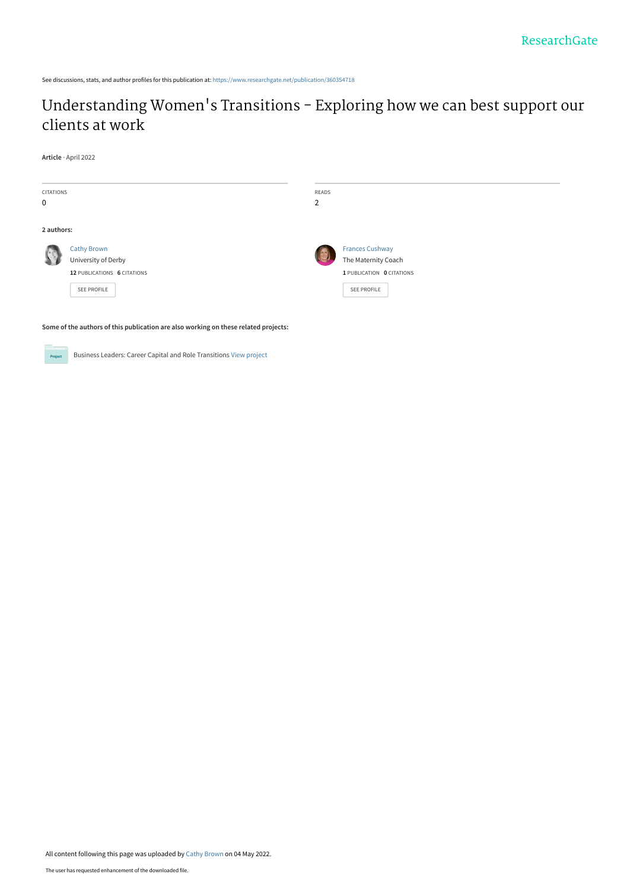See discussions, stats, and author profiles for this publication at: [https://www.researchgate.net/publication/360354718](https://www.researchgate.net/publication/360354718_Understanding_Women%27s_Transitions_-_Exploring_how_we_can_best_support_our_clients_at_work?enrichId=rgreq-d0544b69202fc535a0c1a518e167df08-XXX&enrichSource=Y292ZXJQYWdlOzM2MDM1NDcxODtBUzoxMTUxOTA2NTc1NTg1Mjg1QDE2NTE2NDczMzczNTU%3D&el=1_x_2&_esc=publicationCoverPdf)

## Understanding Women['s Transitions - Exploring how we can best support our](https://www.researchgate.net/publication/360354718_Understanding_Women%27s_Transitions_-_Exploring_how_we_can_best_support_our_clients_at_work?enrichId=rgreq-d0544b69202fc535a0c1a518e167df08-XXX&enrichSource=Y292ZXJQYWdlOzM2MDM1NDcxODtBUzoxMTUxOTA2NTc1NTg1Mjg1QDE2NTE2NDczMzczNTU%3D&el=1_x_3&_esc=publicationCoverPdf) clients at work

**Article** · April 2022

| <b>CITATIONS</b><br>$\mathbf 0$                                                     |                                                                                                | READS<br>2 |                                                                                                  |
|-------------------------------------------------------------------------------------|------------------------------------------------------------------------------------------------|------------|--------------------------------------------------------------------------------------------------|
| 2 authors:                                                                          |                                                                                                |            |                                                                                                  |
|                                                                                     | <b>Cathy Brown</b><br>University of Derby<br>12 PUBLICATIONS 6 CITATIONS<br><b>SEE PROFILE</b> |            | <b>Frances Cushway</b><br>The Maternity Coach<br>1 PUBLICATION 0 CITATIONS<br><b>SEE PROFILE</b> |
| Some of the authors of this publication are also working on these related projects: |                                                                                                |            |                                                                                                  |



Business Leaders: Career Capital and Role Transitions [View project](https://www.researchgate.net/project/Business-Leaders-Career-Capital-and-Role-Transitions?enrichId=rgreq-d0544b69202fc535a0c1a518e167df08-XXX&enrichSource=Y292ZXJQYWdlOzM2MDM1NDcxODtBUzoxMTUxOTA2NTc1NTg1Mjg1QDE2NTE2NDczMzczNTU%3D&el=1_x_9&_esc=publicationCoverPdf)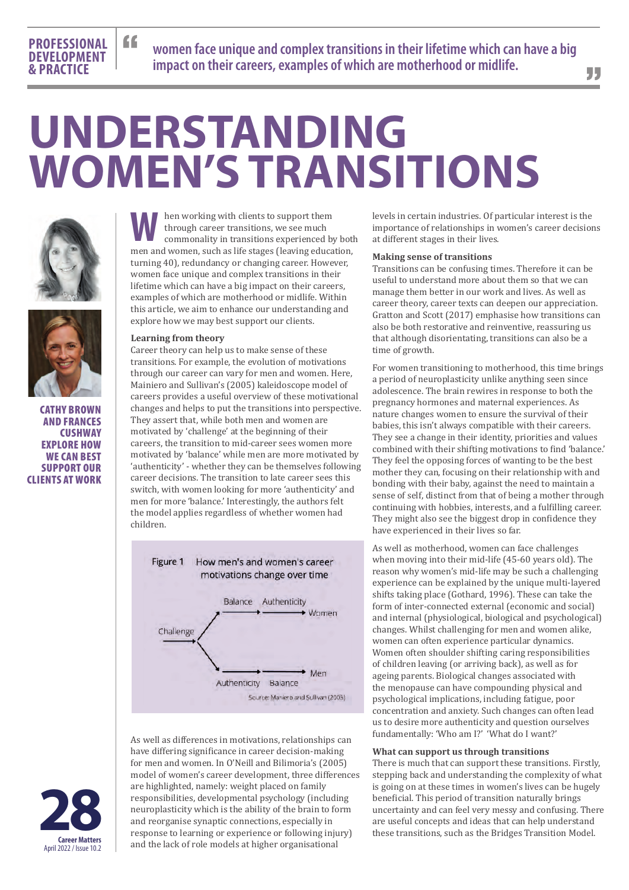**women face unique and complex transitions in their lifetime which can have a big impact on their careers, examples of which are motherhood or midlife.**

# **UNDERSTANDING WOMEN'S TRANSITIONS**



**PROFESSIONAL DEVELOPMENT & PRACTICE**

"



CATHY BROWN AND FRANCES **CUSHWAY** EXPLORE HOW WE CAN BEST SUPPORT OUR CLIENTS AT WORK

hen working with clients to support them through career transitions, we see much commonality in transitions experienced by both **M** hen working with clients to support them through career transitions, we see much commonality in transitions experienced by both men and women, such as life stages (leaving education, turning 40), redundancy or changing career. However, women face unique and complex transitions in their lifetime which can have a big impact on their careers, examples of which are motherhood or midlife. Within this article, we aim to enhance our understanding and explore how we may best support our clients.

#### **Learning from theory**

Career theory can help us to make sense of these transitions. For example, the evolution of motivations through our career can vary for men and women. Here, Mainiero and Sullivan's (2005) kaleidoscope model of careers provides a useful overview of these motivational changes and helps to put the transitions into perspective. They assert that, while both men and women are motivated by 'challenge' at the beginning of their careers, the transition to mid-career sees women more motivated by 'balance' while men are more motivated by 'authenticity' - whether they can be themselves following career decisions. The transition to late career sees this switch, with women looking for more 'authenticity' and men for more 'balance.' Interestingly, the authors felt the model applies regardless of whether women had children.



As well as differences in motivations, relationships can have differing significance in career decision-making for men and women. In O'Neill and Bilimoria's (2005) model of women's career development, three differences are highlighted, namely: weight placed on family responsibilities, developmental psychology (including neuroplasticity which is the ability of the brain to form and reorganise synaptic connections, especially in response to learning or experience or following injury) and the lack of role models at higher organisational

levels in certain industries. Of particular interest is the importance of relationships in women's career decisions at different stages in their lives.

55

#### **Making sense of transitions**

Transitions can be confusing times. Therefore it can be useful to understand more about them so that we can manage them better in our work and lives. As well as career theory, career texts can deepen our appreciation. Gratton and Scott (2017) emphasise how transitions can also be both restorative and reinventive, reassuring us that although disorientating, transitions can also be a time of growth.

For women transitioning to motherhood, this time brings a period of neuroplasticity unlike anything seen since adolescence. The brain rewires in response to both the pregnancy hormones and maternal experiences. As nature changes women to ensure the survival of their babies, this isn't always compatible with their careers. They see a change in their identity, priorities and values combined with their shifting motivations to find 'balance.' They feel the opposing forces of wanting to be the best mother they can, focusing on their relationship with and bonding with their baby, against the need to maintain a sense of self, distinct from that of being a mother through continuing with hobbies, interests, and a fulfilling career. They might also see the biggest drop in confidence they have experienced in their lives so far.

As well as motherhood, women can face challenges when moving into their mid-life (45-60 years old). The reason why women's mid-life may be such a challenging experience can be explained by the unique multi-layered shifts taking place (Gothard, 1996). These can take the form of inter-connected external (economic and social) and internal (physiological, biological and psychological) changes. Whilst challenging for men and women alike, women can often experience particular dynamics. Women often shoulder shifting caring responsibilities of children leaving (or arriving back), as well as for ageing parents. Biological changes associated with the menopause can have compounding physical and psychological implications, including fatigue, poor concentration and anxiety. Such changes can often lead us to desire more authenticity and question ourselves fundamentally: 'Who am I?' 'What do I want?'

#### **What can support us through transitions**

There is much that can support these transitions. Firstly, stepping back and understanding the complexity of what is going on at these times in women's lives can be hugely beneficial. This period of transition naturally brings uncertainty and can feel very messy and confusing. There are useful concepts and ideas that can help understand these transitions, such as the Bridges Transition Model.